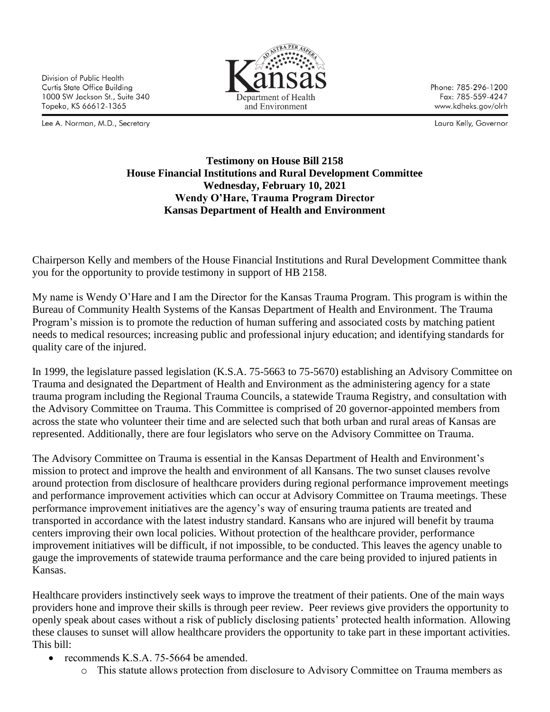Division of Public Health Curtis State Office Building 1000 SW Jackson St., Suite 340 Topeka, KS 66612-1365

Lee A. Norman, M.D., Secretary



Phone: 785-296-1200 Fax: 785-559-4247 www.kdheks.gov/olrh

Laura Kelly, Governor

## **Testimony on House Bill 2158 House Financial Institutions and Rural Development Committee Wednesday, February 10, 2021 Wendy O'Hare, Trauma Program Director Kansas Department of Health and Environment**

Chairperson Kelly and members of the House Financial Institutions and Rural Development Committee thank you for the opportunity to provide testimony in support of HB 2158.

My name is Wendy O'Hare and I am the Director for the Kansas Trauma Program. This program is within the Bureau of Community Health Systems of the Kansas Department of Health and Environment. The Trauma Program's mission is to promote the reduction of human suffering and associated costs by matching patient needs to medical resources; increasing public and professional injury education; and identifying standards for quality care of the injured.

In 1999, the legislature passed legislation (K.S.A. 75-5663 to 75-5670) establishing an Advisory Committee on Trauma and designated the Department of Health and Environment as the administering agency for a state trauma program including the Regional Trauma Councils, a statewide Trauma Registry, and consultation with the Advisory Committee on Trauma. This Committee is comprised of 20 governor-appointed members from across the state who volunteer their time and are selected such that both urban and rural areas of Kansas are represented. Additionally, there are four legislators who serve on the Advisory Committee on Trauma.

The Advisory Committee on Trauma is essential in the Kansas Department of Health and Environment's mission to protect and improve the health and environment of all Kansans. The two sunset clauses revolve around protection from disclosure of healthcare providers during regional performance improvement meetings and performance improvement activities which can occur at Advisory Committee on Trauma meetings. These performance improvement initiatives are the agency's way of ensuring trauma patients are treated and transported in accordance with the latest industry standard. Kansans who are injured will benefit by trauma centers improving their own local policies. Without protection of the healthcare provider, performance improvement initiatives will be difficult, if not impossible, to be conducted. This leaves the agency unable to gauge the improvements of statewide trauma performance and the care being provided to injured patients in Kansas.

Healthcare providers instinctively seek ways to improve the treatment of their patients. One of the main ways providers hone and improve their skills is through peer review. Peer reviews give providers the opportunity to openly speak about cases without a risk of publicly disclosing patients' protected health information. Allowing these clauses to sunset will allow healthcare providers the opportunity to take part in these important activities. This bill:

- recommends K.S.A. 75-5664 be amended.
	- o This statute allows protection from disclosure to Advisory Committee on Trauma members as